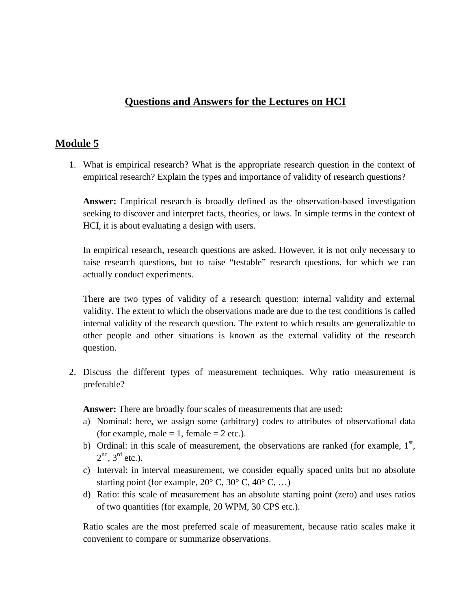## **Questions and Answers for the Lectures on HCI**

## **Module 5**

1. What is empirical research? What is the appropriate research question in the context of empirical research? Explain the types and importance of validity of research questions?

**Answer:** Empirical research is broadly defined as the observation-based investigation seeking to discover and interpret facts, theories, or laws. In simple terms in the context of HCI, it is about evaluating a design with users.

In empirical research, research questions are asked. However, it is not only necessary to raise research questions, but to raise "testable" research questions, for which we can actually conduct experiments.

There are two types of validity of a research question: internal validity and external validity. The extent to which the observations made are due to the test conditions is called internal validity of the research question. The extent to which results are generalizable to other people and other situations is known as the external validity of the research question.

2. Discuss the different types of measurement techniques. Why ratio measurement is preferable?

**Answer:** There are broadly four scales of measurements that are used:

- a) Nominal: here, we assign some (arbitrary) codes to attributes of observational data (for example, male  $= 1$ , female  $= 2$  etc.).
- b) Ordinal: in this scale of measurement, the observations are ranked (for example,  $1<sup>st</sup>$ ,  $2<sup>nd</sup>$ ,  $3<sup>rd</sup>$  etc.).
- c) Interval: in interval measurement, we consider equally spaced units but no absolute starting point (for example,  $20^{\circ}$  C,  $30^{\circ}$  C,  $40^{\circ}$  C, ...)
- d) Ratio: this scale of measurement has an absolute starting point (zero) and uses ratios of two quantities (for example, 20 WPM, 30 CPS etc.).

Ratio scales are the most preferred scale of measurement, because ratio scales make it convenient to compare or summarize observations.